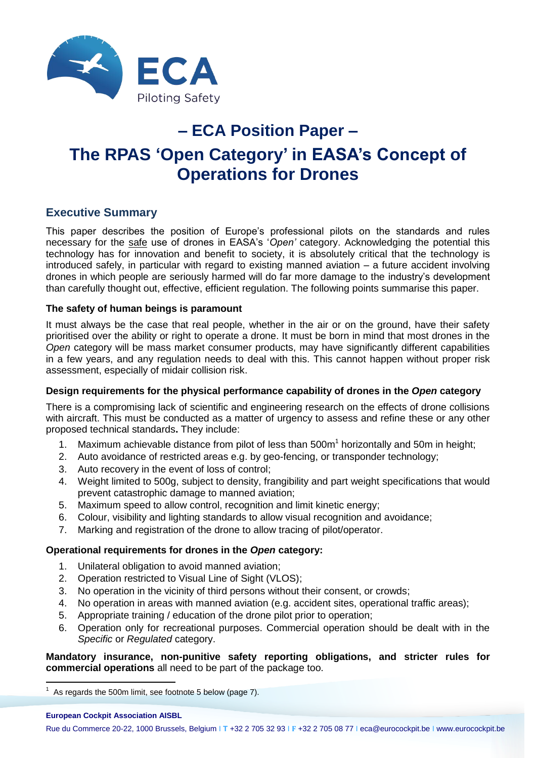

# **– ECA Position Paper – The RPAS 'Open Category' in EASA's Concept of Operations for Drones**

### **Executive Summary**

This paper describes the position of Europe's professional pilots on the standards and rules necessary for the safe use of drones in EASA's '*Open'* category. Acknowledging the potential this technology has for innovation and benefit to society, it is absolutely critical that the technology is introduced safely, in particular with regard to existing manned aviation – a future accident involving drones in which people are seriously harmed will do far more damage to the industry's development than carefully thought out, effective, efficient regulation. The following points summarise this paper.

### **The safety of human beings is paramount**

It must always be the case that real people, whether in the air or on the ground, have their safety prioritised over the ability or right to operate a drone. It must be born in mind that most drones in the *Open* category will be mass market consumer products, may have significantly different capabilities in a few years, and any regulation needs to deal with this. This cannot happen without proper risk assessment, especially of midair collision risk.

### **Design requirements for the physical performance capability of drones in the** *Open* **category**

There is a compromising lack of scientific and engineering research on the effects of drone collisions with aircraft. This must be conducted as a matter of urgency to assess and refine these or any other proposed technical standards**.** They include:

- 1. Maximum achievable distance from pilot of less than 500m<sup>1</sup> horizontally and 50m in height;
- 2. Auto avoidance of restricted areas e.g. by geo-fencing, or transponder technology;
- 3. Auto recovery in the event of loss of control;
- 4. Weight limited to 500g, subject to density, frangibility and part weight specifications that would prevent catastrophic damage to manned aviation;
- 5. Maximum speed to allow control, recognition and limit kinetic energy;
- 6. Colour, visibility and lighting standards to allow visual recognition and avoidance;
- 7. Marking and registration of the drone to allow tracing of pilot/operator.

### **Operational requirements for drones in the** *Open* **category:**

- 1. Unilateral obligation to avoid manned aviation;
- 2. Operation restricted to Visual Line of Sight (VLOS);
- 3. No operation in the vicinity of third persons without their consent, or crowds;
- 4. No operation in areas with manned aviation (e.g. accident sites, operational traffic areas);
- 5. Appropriate training / education of the drone pilot prior to operation;
- 6. Operation only for recreational purposes. Commercial operation should be dealt with in the *Specific* or *Regulated* category.

**Mandatory insurance, non-punitive safety reporting obligations, and stricter rules for commercial operations** all need to be part of the package too.

**European Cockpit Association AISBL**

 1 As regards the 500m limit, see footnote 5 below (page 7).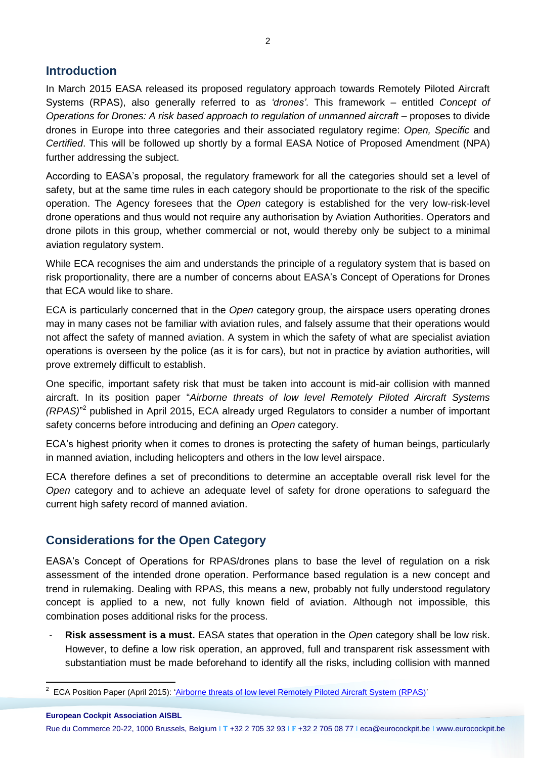### **Introduction**

In March 2015 EASA released its proposed regulatory approach towards Remotely Piloted Aircraft Systems (RPAS), also generally referred to as *'drones'*. This framework – entitled *Concept of Operations for Drones: A risk based approach to regulation of unmanned aircraft* – proposes to divide drones in Europe into three categories and their associated regulatory regime: *Open, Specific* and *Certified*. This will be followed up shortly by a formal EASA Notice of Proposed Amendment (NPA) further addressing the subject.

According to EASA's proposal, the regulatory framework for all the categories should set a level of safety, but at the same time rules in each category should be proportionate to the risk of the specific operation. The Agency foresees that the *Open* category is established for the very low-risk-level drone operations and thus would not require any authorisation by Aviation Authorities. Operators and drone pilots in this group, whether commercial or not, would thereby only be subject to a minimal aviation regulatory system.

While ECA recognises the aim and understands the principle of a regulatory system that is based on risk proportionality, there are a number of concerns about EASA's Concept of Operations for Drones that ECA would like to share.

ECA is particularly concerned that in the *Open* category group, the airspace users operating drones may in many cases not be familiar with aviation rules, and falsely assume that their operations would not affect the safety of manned aviation. A system in which the safety of what are specialist aviation operations is overseen by the police (as it is for cars), but not in practice by aviation authorities, will prove extremely difficult to establish.

One specific, important safety risk that must be taken into account is mid-air collision with manned aircraft. In its position paper "*Airborne threats of low level Remotely Piloted Aircraft Systems (RPAS)*" 2 published in April 2015, ECA already urged Regulators to consider a number of important safety concerns before introducing and defining an *Open* category.

ECA's highest priority when it comes to drones is protecting the safety of human beings, particularly in manned aviation, including helicopters and others in the low level airspace.

ECA therefore defines a set of preconditions to determine an acceptable overall risk level for the *Open* category and to achieve an adequate level of safety for drone operations to safeguard the current high safety record of manned aviation.

# **Considerations for the Open Category**

EASA's Concept of Operations for RPAS/drones plans to base the level of regulation on a risk assessment of the intended drone operation. Performance based regulation is a new concept and trend in rulemaking. Dealing with RPAS, this means a new, probably not fully understood regulatory concept is applied to a new, not fully known field of aviation. Although not impossible, this combination poses additional risks for the process.

- **Risk assessment is a must.** EASA states that operation in the *Open* category shall be low risk. However, to define a low risk operation, an approved, full and transparent risk assessment with substantiation must be made beforehand to identify all the risks, including collision with manned

Rue du Commerce 20-22, 1000 Brussels, Belgium I **T** +32 2 705 32 93 I **F** +32 2 705 08 77 I eca@eurocockpit.be I www.eurocockpit.be

 2 ECA Position Paper (April 2015): ['Airborne threats of low level Remotely Piloted Aircraft System \(RPAS\)'](https://www.eurocockpit.be/stories/20150423/airborne-threats-of-low-level-remotely-piloted-aircraft-system-rpas)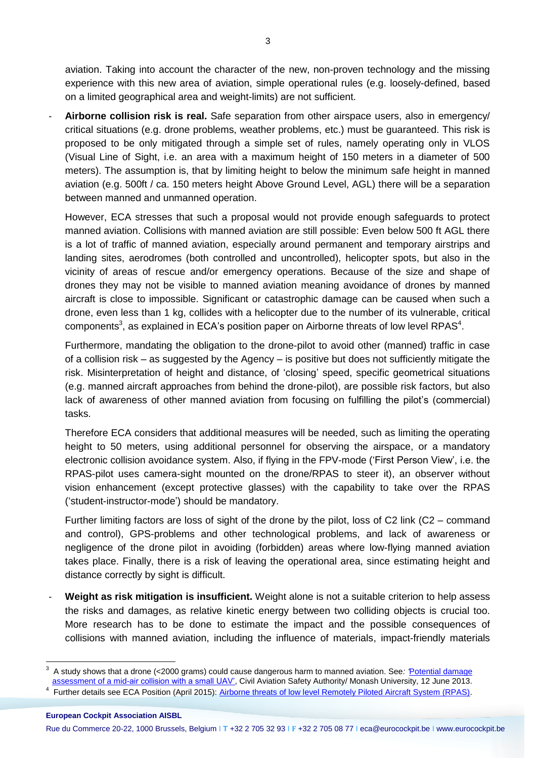aviation. Taking into account the character of the new, non-proven technology and the missing experience with this new area of aviation, simple operational rules (e.g. loosely-defined, based on a limited geographical area and weight-limits) are not sufficient.

- **Airborne collision risk is real.** Safe separation from other airspace users, also in emergency/ critical situations (e.g. drone problems, weather problems, etc.) must be guaranteed. This risk is proposed to be only mitigated through a simple set of rules, namely operating only in VLOS (Visual Line of Sight, i.e. an area with a maximum height of 150 meters in a diameter of 500 meters). The assumption is, that by limiting height to below the minimum safe height in manned aviation (e.g. 500ft / ca. 150 meters height Above Ground Level, AGL) there will be a separation between manned and unmanned operation.

However, ECA stresses that such a proposal would not provide enough safeguards to protect manned aviation. Collisions with manned aviation are still possible: Even below 500 ft AGL there is a lot of traffic of manned aviation, especially around permanent and temporary airstrips and landing sites, aerodromes (both controlled and uncontrolled), helicopter spots, but also in the vicinity of areas of rescue and/or emergency operations. Because of the size and shape of drones they may not be visible to manned aviation meaning avoidance of drones by manned aircraft is close to impossible. Significant or catastrophic damage can be caused when such a drone, even less than 1 kg, collides with a helicopter due to the number of its vulnerable, critical components<sup>3</sup>, as explained in ECA's position paper on Airborne threats of low level RPAS<sup>4</sup>.

Furthermore, mandating the obligation to the drone-pilot to avoid other (manned) traffic in case of a collision risk – as suggested by the Agency – is positive but does not sufficiently mitigate the risk. Misinterpretation of height and distance, of 'closing' speed, specific geometrical situations (e.g. manned aircraft approaches from behind the drone-pilot), are possible risk factors, but also lack of awareness of other manned aviation from focusing on fulfilling the pilot's (commercial) tasks.

Therefore ECA considers that additional measures will be needed, such as limiting the operating height to 50 meters, using additional personnel for observing the airspace, or a mandatory electronic collision avoidance system. Also, if flying in the FPV-mode ('First Person View', i.e. the RPAS-pilot uses camera-sight mounted on the drone/RPAS to steer it), an observer without vision enhancement (except protective glasses) with the capability to take over the RPAS ('student-instructor-mode') should be mandatory.

Further limiting factors are loss of sight of the drone by the pilot, loss of C2 link (C2 – command and control), GPS-problems and other technological problems, and lack of awareness or negligence of the drone pilot in avoiding (forbidden) areas where low-flying manned aviation takes place. Finally, there is a risk of leaving the operational area, since estimating height and distance correctly by sight is difficult.

- **Weight as risk mitigation is insufficient.** Weight alone is not a suitable criterion to help assess the risks and damages, as relative kinetic energy between two colliding objects is crucial too. More research has to be done to estimate the impact and the possible consequences of collisions with manned aviation, including the influence of materials, impact-friendly materials

 3 A study shows that a drone (<2000 grams) could cause dangerous harm to manned aviation. See*: '*[Potential damage](https://www.casa.gov.au/sites/g/files/net351/f/_assets/main/airworth/papers/potential-damage-assessment-mid-air-collision-small-rpa.pdf)  [assessment of a mid-air collision with a small UAV',](https://www.casa.gov.au/sites/g/files/net351/f/_assets/main/airworth/papers/potential-damage-assessment-mid-air-collision-small-rpa.pdf) Civil Aviation Safety Authority/ Monash University, 12 June 2013.

<sup>&</sup>lt;sup>4</sup> Further details see ECA Position (April 2015): [Airborne threats of low level Remotely Piloted Aircraft System \(RPAS\).](https://www.eurocockpit.be/stories/20150423/airborne-threats-of-low-level-remotely-piloted-aircraft-system-rpas)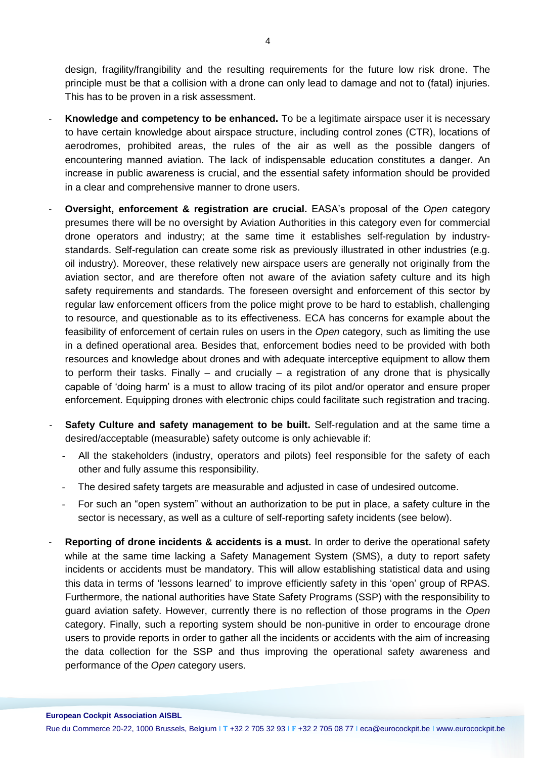design, fragility/frangibility and the resulting requirements for the future low risk drone. The principle must be that a collision with a drone can only lead to damage and not to (fatal) injuries. This has to be proven in a risk assessment.

- **Knowledge and competency to be enhanced.** To be a legitimate airspace user it is necessary to have certain knowledge about airspace structure, including control zones (CTR), locations of aerodromes, prohibited areas, the rules of the air as well as the possible dangers of encountering manned aviation. The lack of indispensable education constitutes a danger. An increase in public awareness is crucial, and the essential safety information should be provided in a clear and comprehensive manner to drone users.
- **Oversight, enforcement & registration are crucial.** EASA's proposal of the *Open* category presumes there will be no oversight by Aviation Authorities in this category even for commercial drone operators and industry; at the same time it establishes self-regulation by industrystandards. Self-regulation can create some risk as previously illustrated in other industries (e.g. oil industry). Moreover, these relatively new airspace users are generally not originally from the aviation sector, and are therefore often not aware of the aviation safety culture and its high safety requirements and standards. The foreseen oversight and enforcement of this sector by regular law enforcement officers from the police might prove to be hard to establish, challenging to resource, and questionable as to its effectiveness. ECA has concerns for example about the feasibility of enforcement of certain rules on users in the *Open* category, such as limiting the use in a defined operational area. Besides that, enforcement bodies need to be provided with both resources and knowledge about drones and with adequate interceptive equipment to allow them to perform their tasks. Finally  $-$  and crucially  $-$  a registration of any drone that is physically capable of 'doing harm' is a must to allow tracing of its pilot and/or operator and ensure proper enforcement. Equipping drones with electronic chips could facilitate such registration and tracing.
- **Safety Culture and safety management to be built.** Self-regulation and at the same time a desired/acceptable (measurable) safety outcome is only achievable if:
	- All the stakeholders (industry, operators and pilots) feel responsible for the safety of each other and fully assume this responsibility.
	- The desired safety targets are measurable and adjusted in case of undesired outcome.
	- For such an "open system" without an authorization to be put in place, a safety culture in the sector is necessary, as well as a culture of self-reporting safety incidents (see below).
- **Reporting of drone incidents & accidents is a must.** In order to derive the operational safety while at the same time lacking a Safety Management System (SMS), a duty to report safety incidents or accidents must be mandatory. This will allow establishing statistical data and using this data in terms of 'lessons learned' to improve efficiently safety in this 'open' group of RPAS. Furthermore, the national authorities have State Safety Programs (SSP) with the responsibility to guard aviation safety. However, currently there is no reflection of those programs in the *Open* category. Finally, such a reporting system should be non-punitive in order to encourage drone users to provide reports in order to gather all the incidents or accidents with the aim of increasing the data collection for the SSP and thus improving the operational safety awareness and performance of the *Open* category users.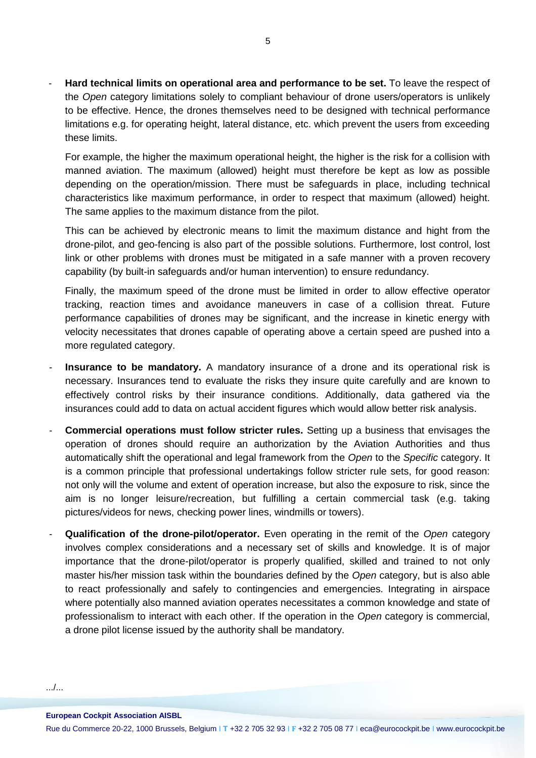- **Hard technical limits on operational area and performance to be set.** To leave the respect of the *Open* category limitations solely to compliant behaviour of drone users/operators is unlikely to be effective. Hence, the drones themselves need to be designed with technical performance limitations e.g. for operating height, lateral distance, etc. which prevent the users from exceeding these limits.

For example, the higher the maximum operational height, the higher is the risk for a collision with manned aviation. The maximum (allowed) height must therefore be kept as low as possible depending on the operation/mission. There must be safeguards in place, including technical characteristics like maximum performance, in order to respect that maximum (allowed) height. The same applies to the maximum distance from the pilot.

This can be achieved by electronic means to limit the maximum distance and hight from the drone-pilot, and geo-fencing is also part of the possible solutions. Furthermore, lost control, lost link or other problems with drones must be mitigated in a safe manner with a proven recovery capability (by built-in safeguards and/or human intervention) to ensure redundancy.

Finally, the maximum speed of the drone must be limited in order to allow effective operator tracking, reaction times and avoidance maneuvers in case of a collision threat. Future performance capabilities of drones may be significant, and the increase in kinetic energy with velocity necessitates that drones capable of operating above a certain speed are pushed into a more regulated category.

- **Insurance to be mandatory.** A mandatory insurance of a drone and its operational risk is necessary. Insurances tend to evaluate the risks they insure quite carefully and are known to effectively control risks by their insurance conditions. Additionally, data gathered via the insurances could add to data on actual accident figures which would allow better risk analysis.
- **Commercial operations must follow stricter rules.** Setting up a business that envisages the operation of drones should require an authorization by the Aviation Authorities and thus automatically shift the operational and legal framework from the *Open* to the *Specific* category. It is a common principle that professional undertakings follow stricter rule sets, for good reason: not only will the volume and extent of operation increase, but also the exposure to risk, since the aim is no longer leisure/recreation, but fulfilling a certain commercial task (e.g. taking pictures/videos for news, checking power lines, windmills or towers).
- **Qualification of the drone-pilot/operator.** Even operating in the remit of the *Open* category involves complex considerations and a necessary set of skills and knowledge. It is of major importance that the drone-pilot/operator is properly qualified, skilled and trained to not only master his/her mission task within the boundaries defined by the *Open* category, but is also able to react professionally and safely to contingencies and emergencies. Integrating in airspace where potentially also manned aviation operates necessitates a common knowledge and state of professionalism to interact with each other. If the operation in the *Open* category is commercial, a drone pilot license issued by the authority shall be mandatory.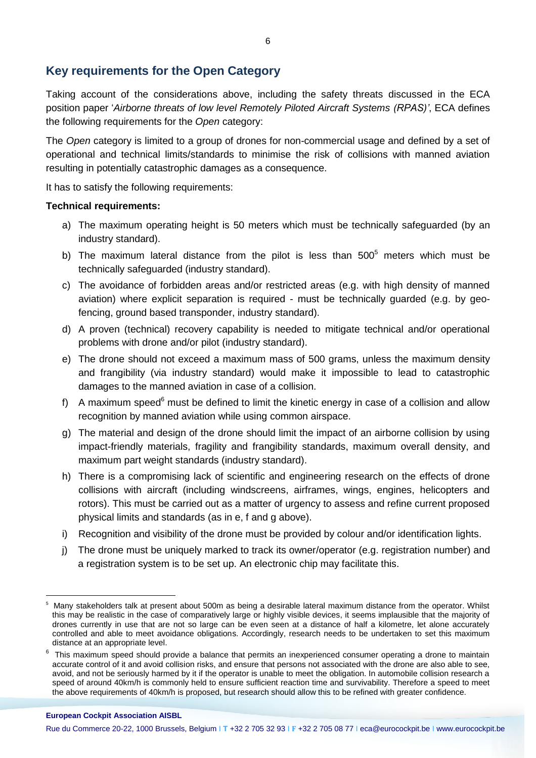## **Key requirements for the Open Category**

Taking account of the considerations above, including the safety threats discussed in the ECA position paper '*Airborne threats of low level Remotely Piloted Aircraft Systems (RPAS)'*, ECA defines the following requirements for the *Open* category:

The *Open* category is limited to a group of drones for non-commercial usage and defined by a set of operational and technical limits/standards to minimise the risk of collisions with manned aviation resulting in potentially catastrophic damages as a consequence.

It has to satisfy the following requirements:

#### **Technical requirements:**

- a) The maximum operating height is 50 meters which must be technically safeguarded (by an industry standard).
- b) The maximum lateral distance from the pilot is less than  $500<sup>5</sup>$  meters which must be technically safeguarded (industry standard).
- c) The avoidance of forbidden areas and/or restricted areas (e.g. with high density of manned aviation) where explicit separation is required - must be technically guarded (e.g. by geofencing, ground based transponder, industry standard).
- d) A proven (technical) recovery capability is needed to mitigate technical and/or operational problems with drone and/or pilot (industry standard).
- e) The drone should not exceed a maximum mass of 500 grams, unless the maximum density and frangibility (via industry standard) would make it impossible to lead to catastrophic damages to the manned aviation in case of a collision.
- f) A maximum speed<sup>6</sup> must be defined to limit the kinetic energy in case of a collision and allow recognition by manned aviation while using common airspace.
- g) The material and design of the drone should limit the impact of an airborne collision by using impact-friendly materials, fragility and frangibility standards, maximum overall density, and maximum part weight standards (industry standard).
- h) There is a compromising lack of scientific and engineering research on the effects of drone collisions with aircraft (including windscreens, airframes, wings, engines, helicopters and rotors). This must be carried out as a matter of urgency to assess and refine current proposed physical limits and standards (as in e, f and g above).
- i) Recognition and visibility of the drone must be provided by colour and/or identification lights.
- j) The drone must be uniquely marked to track its owner/operator (e.g. registration number) and a registration system is to be set up. An electronic chip may facilitate this.

#### **European Cockpit Association AISBL**

 $\overline{a}$ 5 Many stakeholders talk at present about 500m as being a desirable lateral maximum distance from the operator. Whilst this may be realistic in the case of comparatively large or highly visible devices, it seems implausible that the majority of drones currently in use that are not so large can be even seen at a distance of half a kilometre, let alone accurately controlled and able to meet avoidance obligations. Accordingly, research needs to be undertaken to set this maximum distance at an appropriate level.

<sup>&</sup>lt;sup>6</sup> This maximum speed should provide a balance that permits an inexperienced consumer operating a drone to maintain accurate control of it and avoid collision risks, and ensure that persons not associated with the drone are also able to see, avoid, and not be seriously harmed by it if the operator is unable to meet the obligation. In automobile collision research a speed of around 40km/h is commonly held to ensure sufficient reaction time and survivability. Therefore a speed to meet the above requirements of 40km/h is proposed, but research should allow this to be refined with greater confidence.